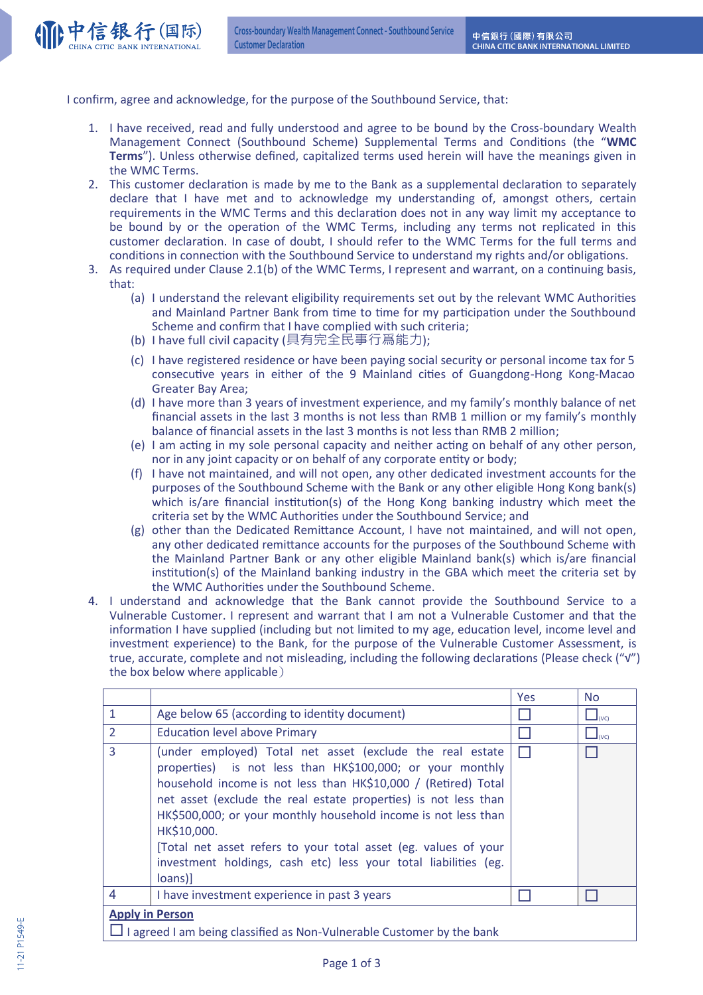

I confirm, agree and acknowledge, for the purpose of the Southbound Service, that:

- 1. I have received, read and fully understood and agree to be bound by the Cross-boundary Wealth Management Connect (Southbound Scheme) Supplemental Terms and Conditions (the "WMC **Terms**"). Unless otherwise defined, capitalized terms used herein will have the meanings given in the WMC Terms.
- 2. This customer declaration is made by me to the Bank as a supplemental declaration to separately declare that I have met and to acknowledge my understanding of, amongst others, certain requirements in the WMC Terms and this declaration does not in any way limit my acceptance to be bound by or the operation of the WMC Terms, including any terms not replicated in this customer declaration. In case of doubt, I should refer to the WMC Terms for the full terms and conditions in connection with the Southbound Service to understand my rights and/or obligations.
- 3. As required under Clause 2.1(b) of the WMC Terms, I represent and warrant, on a continuing basis, that:
	- (a) I understand the relevant eligibility requirements set out by the relevant WMC Authorities and Mainland Partner Bank from time to time for my participation under the Southbound Scheme and confirm that I have complied with such criteria;
	- (b) I have full civil capacity (具有完全民事行爲能力);
	- (c) I have registered residence or have been paying social security or personal income tax for 5 consecutive years in either of the 9 Mainland cities of Guangdong-Hong Kong-Macao Greater Bay Area;
	- (d) I have more than 3 years of investment experience, and my family's monthly balance of net financial assets in the last 3 months is not less than RMB 1 million or my family's monthly balance of financial assets in the last 3 months is not less than RMB 2 million;
	- (e) I am acting in my sole personal capacity and neither acting on behalf of any other person, nor in any joint capacity or on behalf of any corporate entity or body;
	- (f) I have not maintained, and will not open, any other dedicated investment accounts for the purposes of the Southbound Scheme with the Bank or any other eligible Hong Kong bank(s) which is/are financial institution(s) of the Hong Kong banking industry which meet the criteria set by the WMC Authorities under the Southbound Service; and
	- (g) other than the Dedicated Remittance Account, I have not maintained, and will not open, any other dedicated remittance accounts for the purposes of the Southbound Scheme with the Mainland Partner Bank or any other eligible Mainland bank(s) which is/are financial institution(s) of the Mainland banking industry in the GBA which meet the criteria set by the WMC Authorities under the Southbound Scheme.
- 4. I understand and acknowledge that the Bank cannot provide the Southbound Service to a Vulnerable Customer. I represent and warrant that I am not a Vulnerable Customer and that the information I have supplied (including but not limited to my age, education level, income level and investment experience) to the Bank, for the purpose of the Vulnerable Customer Assessment, is true, accurate, complete and not misleading, including the following declarations (Please check ("√") the box below where applicable**\***

|                                                                                                        |                                                                                                                                                                                                                                                                                                                                                                                                                                                                                               | Yes | <b>No</b>              |  |  |
|--------------------------------------------------------------------------------------------------------|-----------------------------------------------------------------------------------------------------------------------------------------------------------------------------------------------------------------------------------------------------------------------------------------------------------------------------------------------------------------------------------------------------------------------------------------------------------------------------------------------|-----|------------------------|--|--|
| $\mathbf{1}$                                                                                           | Age below 65 (according to identity document)                                                                                                                                                                                                                                                                                                                                                                                                                                                 |     | $\Box$ <sub>(VC)</sub> |  |  |
| $\overline{2}$                                                                                         | <b>Education level above Primary</b>                                                                                                                                                                                                                                                                                                                                                                                                                                                          |     | $\Box_{(VC)}$          |  |  |
| 3                                                                                                      | (under employed) Total net asset (exclude the real estate<br>properties) is not less than HK\$100,000; or your monthly<br>household income is not less than HK\$10,000 / (Retired) Total<br>net asset (exclude the real estate properties) is not less than<br>HK\$500,000; or your monthly household income is not less than<br>HK\$10,000.<br>[Total net asset refers to your total asset (eg. values of your<br>investment holdings, cash etc) less your total liabilities (eg.<br>loans)] |     |                        |  |  |
| $\overline{4}$                                                                                         | I have investment experience in past 3 years                                                                                                                                                                                                                                                                                                                                                                                                                                                  |     |                        |  |  |
| <b>Apply in Person</b><br>$\Box$ I agreed I am being classified as Non-Vulnerable Customer by the bank |                                                                                                                                                                                                                                                                                                                                                                                                                                                                                               |     |                        |  |  |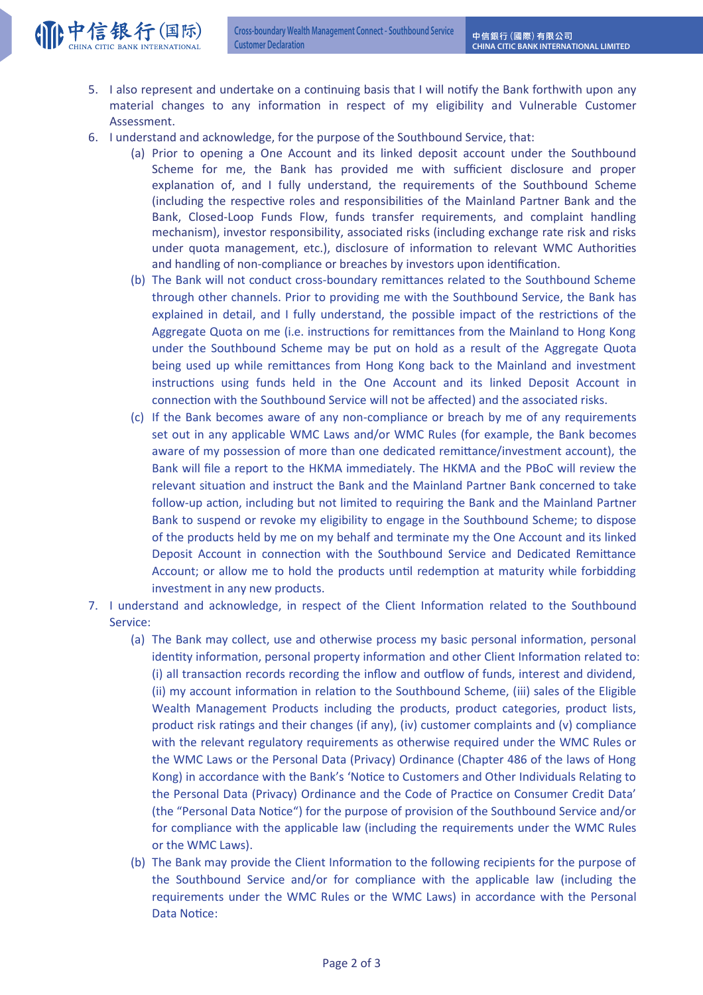

- 5. I also represent and undertake on a continuing basis that I will notify the Bank forthwith upon any material changes to any information in respect of my eligibility and Vulnerable Customer Assessment.
- 6. I understand and acknowledge, for the purpose of the Southbound Service, that:
	- (a) Prior to opening a One Account and its linked deposit account under the Southbound Scheme for me, the Bank has provided me with sufficient disclosure and proper explanation of, and I fully understand, the requirements of the Southbound Scheme (including the respective roles and responsibilities of the Mainland Partner Bank and the Bank, Closed-Loop Funds Flow, funds transfer requirements, and complaint handling mechanism), investor responsibility, associated risks (including exchange rate risk and risks under quota management, etc.), disclosure of information to relevant WMC Authorities and handling of non-compliance or breaches by investors upon identification.
	- (b) The Bank will not conduct cross-boundary remittances related to the Southbound Scheme through other channels. Prior to providing me with the Southbound Service, the Bank has explained in detail, and I fully understand, the possible impact of the restrictions of the Aggregate Quota on me (i.e. instructions for remittances from the Mainland to Hong Kong under the Southbound Scheme may be put on hold as a result of the Aggregate Quota being used up while remittances from Hong Kong back to the Mainland and investment instructions using funds held in the One Account and its linked Deposit Account in connection with the Southbound Service will not be affected) and the associated risks.
	- (c) If the Bank becomes aware of any non-compliance or breach by me of any requirements set out in any applicable WMC Laws and/or WMC Rules (for example, the Bank becomes aware of my possession of more than one dedicated remittance/investment account), the Bank will file a report to the HKMA immediately. The HKMA and the PBoC will review the relevant situation and instruct the Bank and the Mainland Partner Bank concerned to take follow-up action, including but not limited to requiring the Bank and the Mainland Partner Bank to suspend or revoke my eligibility to engage in the Southbound Scheme; to dispose of the products held by me on my behalf and terminate my the One Account and its linked Deposit Account in connection with the Southbound Service and Dedicated Remittance Account; or allow me to hold the products until redemption at maturity while forbidding investment in any new products.
- 7. I understand and acknowledge, in respect of the Client Information related to the Southbound Service:
	- (a) The Bank may collect, use and otherwise process my basic personal information, personal identity information, personal property information and other Client Information related to: (i) all transaction records recording the inflow and outflow of funds, interest and dividend, (ii) my account information in relation to the Southbound Scheme, (iii) sales of the Eligible Wealth Management Products including the products, product categories, product lists, product risk ratings and their changes (if any), (iv) customer complaints and (v) compliance with the relevant regulatory requirements as otherwise required under the WMC Rules or the WMC Laws or the Personal Data (Privacy) Ordinance (Chapter 486 of the laws of Hong Kong) in accordance with the Bank's 'Notice to Customers and Other Individuals Relating to the Personal Data (Privacy) Ordinance and the Code of Practice on Consumer Credit Data' (the "Personal Data Notice") for the purpose of provision of the Southbound Service and/or for compliance with the applicable law (including the requirements under the WMC Rules or the WMC Laws).
	- (b) The Bank may provide the Client Information to the following recipients for the purpose of the Southbound Service and/or for compliance with the applicable law (including the requirements under the WMC Rules or the WMC Laws) in accordance with the Personal Data Notice: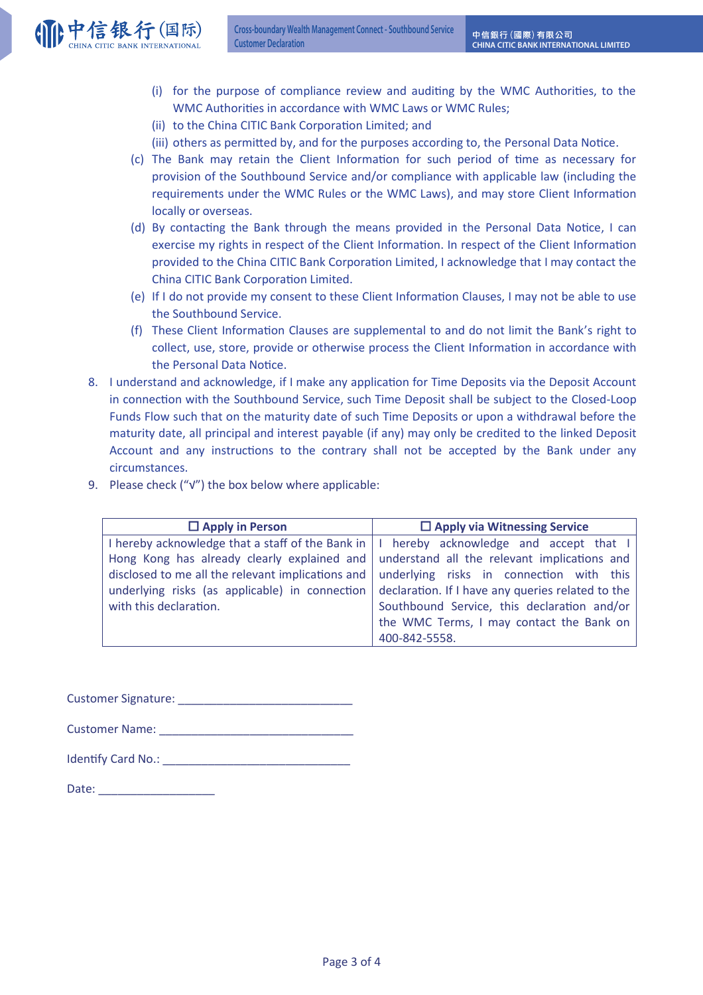

- (i) for the purpose of compliance review and auditing by the WMC Authorities, to the WMC Authorities in accordance with WMC Laws or WMC Rules;
- (ii) to the China CITIC Bank Corporation Limited; and
- (iii) others as permitted by, and for the purposes according to, the Personal Data Notice.
- (c) The Bank may retain the Client Information for such period of time as necessary for provision of the Southbound Service and/or compliance with applicable law (including the requirements under the WMC Rules or the WMC Laws), and may store Client Information locally or overseas.
- (d) By contacting the Bank through the means provided in the Personal Data Notice, I can exercise my rights in respect of the Client Information. In respect of the Client Information provided to the China CITIC Bank Corporation Limited, I acknowledge that I may contact the China CITIC Bank Corporation Limited.
- (e) If I do not provide my consent to these Client Information Clauses, I may not be able to use the Southbound Service.
- (f) These Client Information Clauses are supplemental to and do not limit the Bank's right to collect, use, store, provide or otherwise process the Client Information in accordance with the Personal Data Notice.
- 8. I understand and acknowledge, if I make any application for Time Deposits via the Deposit Account in connection with the Southbound Service, such Time Deposit shall be subject to the Closed-Loop Funds Flow such that on the maturity date of such Time Deposits or upon a withdrawal before the maturity date, all principal and interest payable (if any) may only be credited to the linked Deposit Account and any instructions to the contrary shall not be accepted by the Bank under any circumstances.
- 9. Please check ("√") the box below where applicable:

| $\Box$ Apply in Person                                                                            | $\Box$ Apply via Witnessing Service               |  |  |
|---------------------------------------------------------------------------------------------------|---------------------------------------------------|--|--|
| I hereby acknowledge that a staff of the Bank in $  \cdot  $ hereby acknowledge and accept that I |                                                   |  |  |
| Hong Kong has already clearly explained and understand all the relevant implications and          |                                                   |  |  |
| disclosed to me all the relevant implications and   underlying risks in connection with this      |                                                   |  |  |
| underlying risks (as applicable) in connection                                                    | declaration. If I have any queries related to the |  |  |
| with this declaration.                                                                            | Southbound Service, this declaration and/or       |  |  |
|                                                                                                   | the WMC Terms, I may contact the Bank on          |  |  |
|                                                                                                   | 400-842-5558.                                     |  |  |

Customer Signature:

Customer Name:

| <b>Identify Card No.:</b> |  |
|---------------------------|--|
|---------------------------|--|

Date:  $\Box$